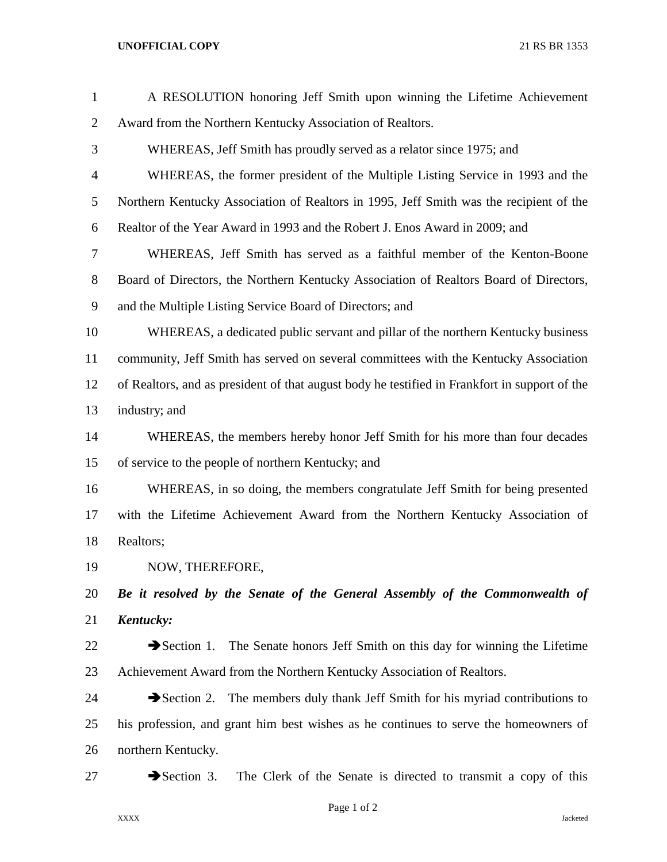## **UNOFFICIAL COPY** 21 RS BR 1353

| $\mathbf{1}$   | A RESOLUTION honoring Jeff Smith upon winning the Lifetime Achievement                        |
|----------------|-----------------------------------------------------------------------------------------------|
| $\overline{2}$ | Award from the Northern Kentucky Association of Realtors.                                     |
| 3              | WHEREAS, Jeff Smith has proudly served as a relator since 1975; and                           |
| 4              | WHEREAS, the former president of the Multiple Listing Service in 1993 and the                 |
| 5              | Northern Kentucky Association of Realtors in 1995, Jeff Smith was the recipient of the        |
| 6              | Realtor of the Year Award in 1993 and the Robert J. Enos Award in 2009; and                   |
| 7              | WHEREAS, Jeff Smith has served as a faithful member of the Kenton-Boone                       |
| 8              | Board of Directors, the Northern Kentucky Association of Realtors Board of Directors,         |
| 9              | and the Multiple Listing Service Board of Directors; and                                      |
| 10             | WHEREAS, a dedicated public servant and pillar of the northern Kentucky business              |
| 11             | community, Jeff Smith has served on several committees with the Kentucky Association          |
| 12             | of Realtors, and as president of that august body he testified in Frankfort in support of the |
| 13             | industry; and                                                                                 |
| 14             | WHEREAS, the members hereby honor Jeff Smith for his more than four decades                   |
| 15             | of service to the people of northern Kentucky; and                                            |
| 16             | WHEREAS, in so doing, the members congratulate Jeff Smith for being presented                 |
| 17             | with the Lifetime Achievement Award from the Northern Kentucky Association of                 |
| 18             | Realtors;                                                                                     |
| 19             | NOW, THEREFORE,                                                                               |
| 20             | Be it resolved by the Senate of the General Assembly of the Commonwealth of                   |
| 21             | Kentucky:                                                                                     |
| 22             | $\rightarrow$ Section 1.<br>The Senate honors Jeff Smith on this day for winning the Lifetime |
| 23             | Achievement Award from the Northern Kentucky Association of Realtors.                         |
| 24             | The members duly thank Jeff Smith for his myriad contributions to<br>$\rightarrow$ Section 2. |
| 25             | his profession, and grant him best wishes as he continues to serve the homeowners of          |
| 26             | northern Kentucky.                                                                            |
| 27             | $\rightarrow$ Section 3.<br>The Clerk of the Senate is directed to transmit a copy of this    |
|                |                                                                                               |

Page 1 of 2